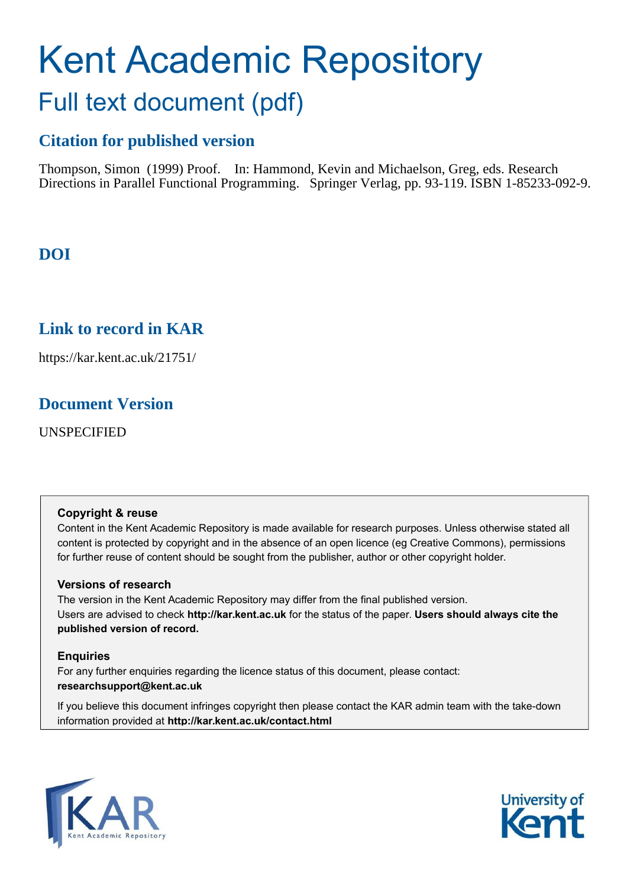# Kent Academic Repository Full text document (pdf)

## **Citation for published version**

Thompson, Simon (1999) Proof. In: Hammond, Kevin and Michaelson, Greg, eds. Research Directions in Parallel Functional Programming. Springer Verlag, pp. 93-119. ISBN 1-85233-092-9.

## **DOI**

### **Link to record in KAR**

https://kar.kent.ac.uk/21751/

### **Document Version**

UNSPECIFIED

#### **Copyright & reuse**

Content in the Kent Academic Repository is made available for research purposes. Unless otherwise stated all content is protected by copyright and in the absence of an open licence (eg Creative Commons), permissions for further reuse of content should be sought from the publisher, author or other copyright holder.

#### **Versions of research**

The version in the Kent Academic Repository may differ from the final published version. Users are advised to check **http://kar.kent.ac.uk** for the status of the paper. **Users should always cite the published version of record.**

#### **Enquiries**

For any further enquiries regarding the licence status of this document, please contact: **researchsupport@kent.ac.uk**

If you believe this document infringes copyright then please contact the KAR admin team with the take-down information provided at **http://kar.kent.ac.uk/contact.html**



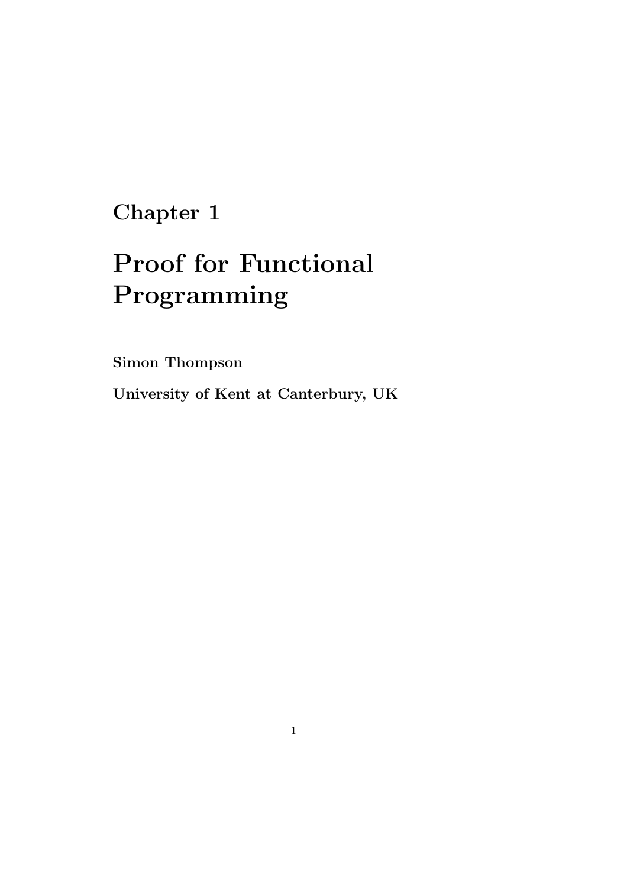## Chapter 1

# Proof for Functional Programming

Simon Thompson

University of Kent at Canterbury, UK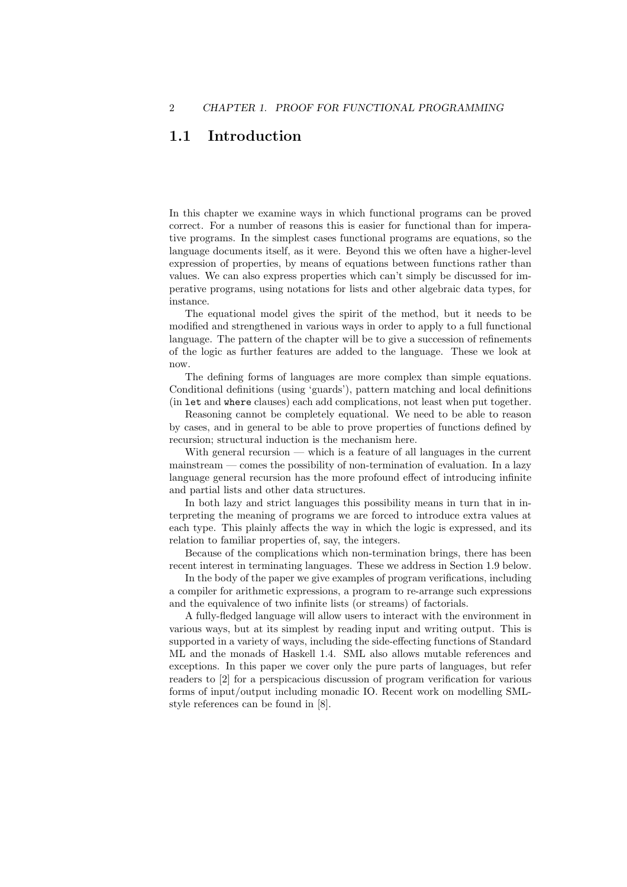#### 1.1 Introduction

In this chapter we examine ways in which functional programs can be proved correct. For a number of reasons this is easier for functional than for imperative programs. In the simplest cases functional programs are equations, so the language documents itself, as it were. Beyond this we often have a higher-level expression of properties, by means of equations between functions rather than values. We can also express properties which can't simply be discussed for imperative programs, using notations for lists and other algebraic data types, for instance.

The equational model gives the spirit of the method, but it needs to be modified and strengthened in various ways in order to apply to a full functional language. The pattern of the chapter will be to give a succession of refinements of the logic as further features are added to the language. These we look at now.

The defining forms of languages are more complex than simple equations. Conditional definitions (using 'guards'), pattern matching and local definitions (in let and where clauses) each add complications, not least when put together.

Reasoning cannot be completely equational. We need to be able to reason by cases, and in general to be able to prove properties of functions defined by recursion; structural induction is the mechanism here.

With general recursion  $-$  which is a feature of all languages in the current mainstream — comes the possibility of non-termination of evaluation. In a lazy language general recursion has the more profound effect of introducing infinite and partial lists and other data structures.

In both lazy and strict languages this possibility means in turn that in interpreting the meaning of programs we are forced to introduce extra values at each type. This plainly affects the way in which the logic is expressed, and its relation to familiar properties of, say, the integers.

Because of the complications which non-termination brings, there has been recent interest in terminating languages. These we address in Section 1.9 below.

In the body of the paper we give examples of program verifications, including a compiler for arithmetic expressions, a program to re-arrange such expressions and the equivalence of two infinite lists (or streams) of factorials.

A fully-fledged language will allow users to interact with the environment in various ways, but at its simplest by reading input and writing output. This is supported in a variety of ways, including the side-effecting functions of Standard ML and the monads of Haskell 1.4. SML also allows mutable references and exceptions. In this paper we cover only the pure parts of languages, but refer readers to [2] for a perspicacious discussion of program verification for various forms of input/output including monadic IO. Recent work on modelling SMLstyle references can be found in [8].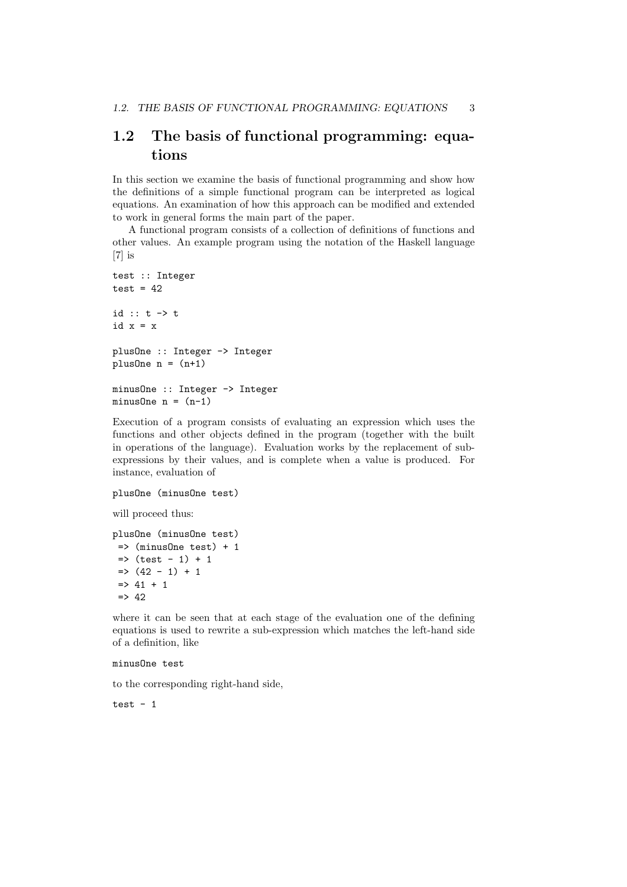#### 1.2 The basis of functional programming: equations

In this section we examine the basis of functional programming and show how the definitions of a simple functional program can be interpreted as logical equations. An examination of how this approach can be modified and extended to work in general forms the main part of the paper.

A functional program consists of a collection of definitions of functions and other values. An example program using the notation of the Haskell language [7] is

```
test :: Integer
test = 42id :: t -> t
id x = xplusOne :: Integer -> Integer
plusOne n = (n+1)minusOne :: Integer -> Integer
minusOne n = (n-1)
```
Execution of a program consists of evaluating an expression which uses the functions and other objects defined in the program (together with the built in operations of the language). Evaluation works by the replacement of subexpressions by their values, and is complete when a value is produced. For instance, evaluation of

```
plusOne (minusOne test)
```
will proceed thus:

```
plusOne (minusOne test)
 \Rightarrow (minusOne test) + 1
 \Rightarrow (test - 1) + 1
 \Rightarrow (42 - 1) + 1
 \Rightarrow 41 + 1
 \Rightarrow 42
```
where it can be seen that at each stage of the evaluation one of the defining equations is used to rewrite a sub-expression which matches the left-hand side of a definition, like

#### minusOne test

to the corresponding right-hand side,

test  $-1$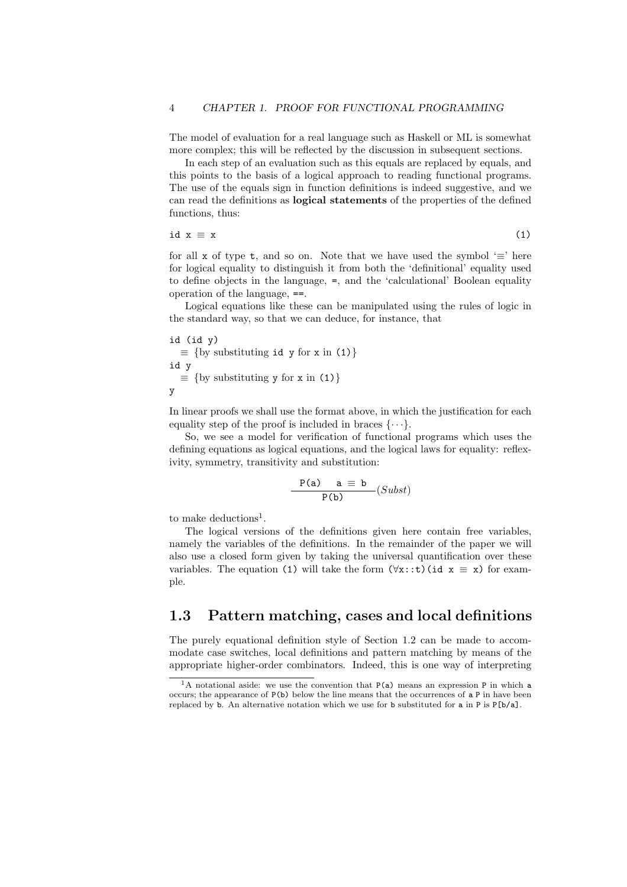The model of evaluation for a real language such as Haskell or ML is somewhat more complex; this will be reflected by the discussion in subsequent sections.

In each step of an evaluation such as this equals are replaced by equals, and this points to the basis of a logical approach to reading functional programs. The use of the equals sign in function definitions is indeed suggestive, and we can read the definitions as logical statements of the properties of the defined functions, thus:

$$
id x \equiv x \tag{1}
$$

for all x of type t, and so on. Note that we have used the symbol ' $\equiv$ ' here for logical equality to distinguish it from both the 'definitional' equality used to define objects in the language, =, and the 'calculational' Boolean equality operation of the language, ==.

Logical equations like these can be manipulated using the rules of logic in the standard way, so that we can deduce, for instance, that

id (id y)  $\equiv$  {by substituting id y for x in (1)} id y  $\equiv$  {by substituting y for x in (1)} y

In linear proofs we shall use the format above, in which the justification for each equality step of the proof is included in braces  $\{\cdots\}$ .

So, we see a model for verification of functional programs which uses the defining equations as logical equations, and the logical laws for equality: reflexivity, symmetry, transitivity and substitution:

$$
\frac{P(a)}{P(b)} \quad a \equiv b \quad (Subst)
$$

to make deductions<sup>1</sup>.

The logical versions of the definitions given here contain free variables, namely the variables of the definitions. In the remainder of the paper we will also use a closed form given by taking the universal quantification over these variables. The equation (1) will take the form  $(\forall x::t)$  (id  $x \equiv x$ ) for example.

#### 1.3 Pattern matching, cases and local definitions

The purely equational definition style of Section 1.2 can be made to accommodate case switches, local definitions and pattern matching by means of the appropriate higher-order combinators. Indeed, this is one way of interpreting

<sup>&</sup>lt;sup>1</sup>A notational aside: we use the convention that  $P(a)$  means an expression P in which a occurs; the appearance of  $P(b)$  below the line means that the occurrences of a P in have been replaced by b. An alternative notation which we use for b substituted for a in P is P[b/a].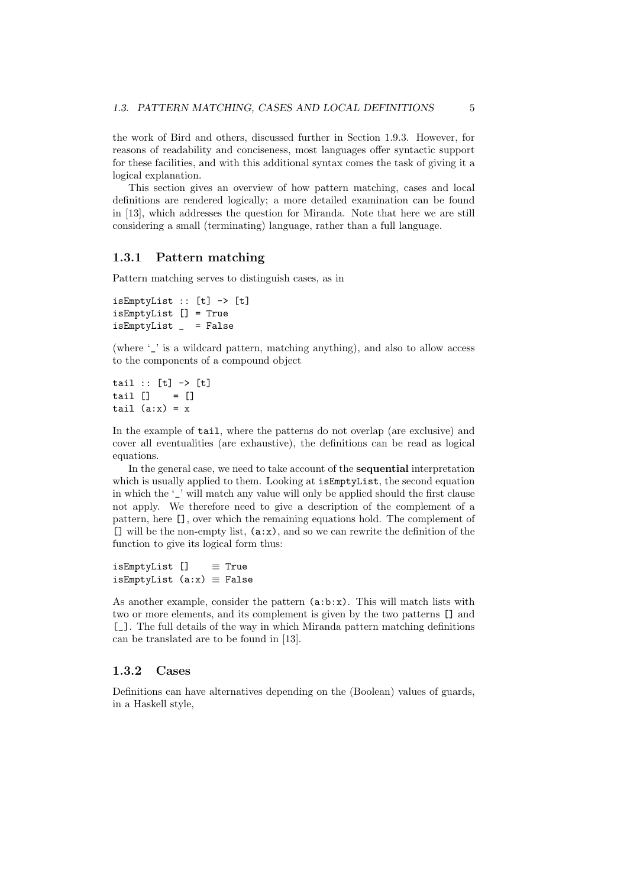the work of Bird and others, discussed further in Section 1.9.3. However, for reasons of readability and conciseness, most languages offer syntactic support for these facilities, and with this additional syntax comes the task of giving it a logical explanation.

This section gives an overview of how pattern matching, cases and local definitions are rendered logically; a more detailed examination can be found in [13], which addresses the question for Miranda. Note that here we are still considering a small (terminating) language, rather than a full language.

#### 1.3.1 Pattern matching

Pattern matching serves to distinguish cases, as in

```
isEmptyList :: [t] -> [t]isEmptyList [] = True
isEmptyList _ = False
```
(where '\_' is a wildcard pattern, matching anything), and also to allow access to the components of a compound object

```
tail :: [t] \rightarrow [t]tail [] = []tail (a:x) = x
```
In the example of tail, where the patterns do not overlap (are exclusive) and cover all eventualities (are exhaustive), the definitions can be read as logical equations.

In the general case, we need to take account of the sequential interpretation which is usually applied to them. Looking at is EmptyList, the second equation in which the '' will match any value will only be applied should the first clause not apply. We therefore need to give a description of the complement of a pattern, here [], over which the remaining equations hold. The complement of  $\lceil$  will be the non-empty list,  $(a:x)$ , and so we can rewrite the definition of the function to give its logical form thus:

isEmptyList [] ≡ True isEmptyList  $(ax) \equiv False$ 

As another example, consider the pattern  $(a:b:x)$ . This will match lists with two or more elements, and its complement is given by the two patterns [] and [\_]. The full details of the way in which Miranda pattern matching definitions can be translated are to be found in [13].

#### 1.3.2 Cases

Definitions can have alternatives depending on the (Boolean) values of guards, in a Haskell style,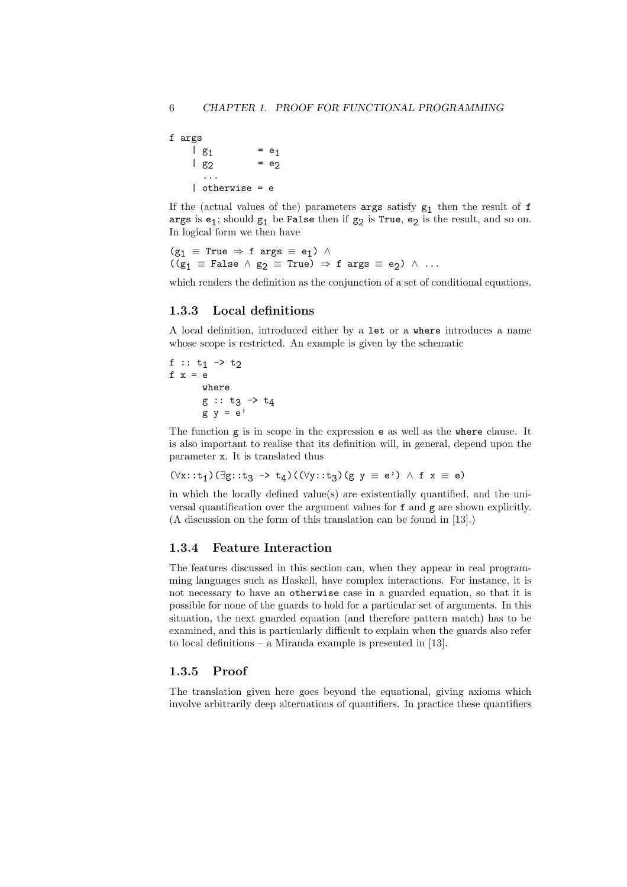```
f args
      | g<sub>1</sub>
                           = e_1\vert g<sub>2</sub>
                           = e_2...
       | otherwise = e
```
If the (actual values of the) parameters  $\arg s$  satisfy  $g_1$  then the result of f args is  $e_1$ ; should  $g_1$  be False then if  $g_2$  is True,  $e_2$  is the result, and so on. In logical form we then have

 $(g_1 \equiv True \Rightarrow f \text{ args } \equiv e_1) \wedge$  $((g_1 \equiv \text{False} \land g_2 \equiv \text{True}) \Rightarrow f \text{ args } \equiv e_2) \land ...$ 

which renders the definition as the conjunction of a set of conditional equations.

#### 1.3.3 Local definitions

A local definition, introduced either by a let or a where introduces a name whose scope is restricted. An example is given by the schematic

f ::  $t_1 \rightarrow t_2$ f  $x = e$ where g :: t<sub>3</sub> -> t<sub>4</sub> g y = e'

The function g is in scope in the expression e as well as the where clause. It is also important to realise that its definition will, in general, depend upon the parameter x. It is translated thus

```
(\forall x: t_1)(\exists g: t_3 \rightarrow t_4)((\forall y: t_3)(g \ y \equiv e') \land f \ x \equiv e)
```
in which the locally defined value(s) are existentially quantified, and the universal quantification over the argument values for f and g are shown explicitly. (A discussion on the form of this translation can be found in [13].)

#### 1.3.4 Feature Interaction

The features discussed in this section can, when they appear in real programming languages such as Haskell, have complex interactions. For instance, it is not necessary to have an otherwise case in a guarded equation, so that it is possible for none of the guards to hold for a particular set of arguments. In this situation, the next guarded equation (and therefore pattern match) has to be examined, and this is particularly difficult to explain when the guards also refer to local definitions – a Miranda example is presented in [13].

#### 1.3.5 Proof

The translation given here goes beyond the equational, giving axioms which involve arbitrarily deep alternations of quantifiers. In practice these quantifiers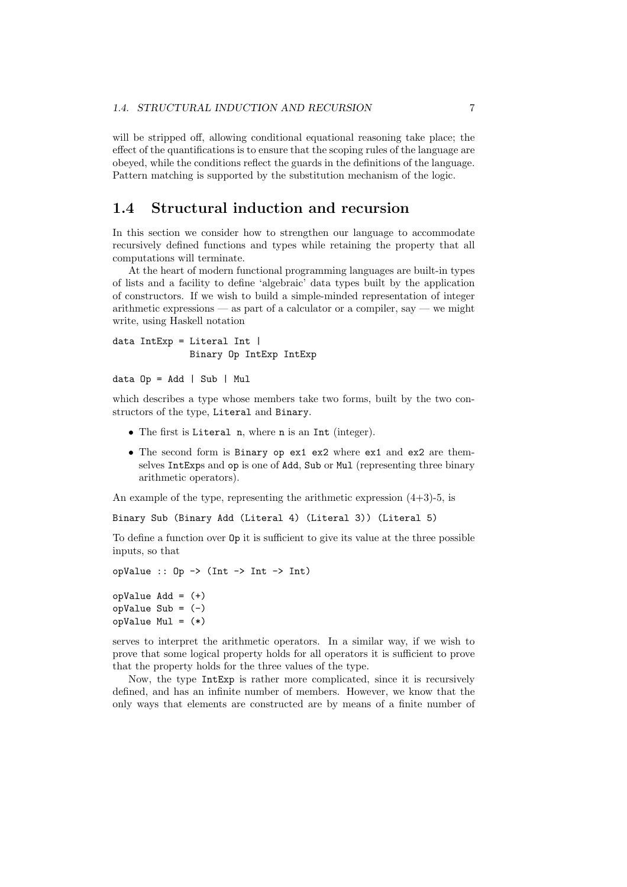will be stripped off, allowing conditional equational reasoning take place; the effect of the quantifications is to ensure that the scoping rules of the language are obeyed, while the conditions reflect the guards in the definitions of the language. Pattern matching is supported by the substitution mechanism of the logic.

#### 1.4 Structural induction and recursion

In this section we consider how to strengthen our language to accommodate recursively defined functions and types while retaining the property that all computations will terminate.

At the heart of modern functional programming languages are built-in types of lists and a facility to define 'algebraic' data types built by the application of constructors. If we wish to build a simple-minded representation of integer arithmetic expressions — as part of a calculator or a compiler, say — we might write, using Haskell notation

```
data IntExp = Literal Int |
              Binary Op IntExp IntExp
```

```
data Op = Add | Sub | Mul
```
which describes a type whose members take two forms, built by the two constructors of the type, Literal and Binary.

- The first is Literal n, where n is an Int (integer).
- The second form is Binary op ex1 ex2 where ex1 and ex2 are themselves IntExps and op is one of Add, Sub or Mul (representing three binary arithmetic operators).

An example of the type, representing the arithmetic expression  $(4+3)-5$ , is

```
Binary Sub (Binary Add (Literal 4) (Literal 3)) (Literal 5)
```
To define a function over Op it is sufficient to give its value at the three possible inputs, so that

```
opValue :: 0p \rightarrow (Int \rightarrow Int \rightarrow Int)
```

```
opValue Add = (+)
opValue Sub = (-)
opValue Mul = (*)
```
serves to interpret the arithmetic operators. In a similar way, if we wish to prove that some logical property holds for all operators it is sufficient to prove that the property holds for the three values of the type.

Now, the type IntExp is rather more complicated, since it is recursively defined, and has an infinite number of members. However, we know that the only ways that elements are constructed are by means of a finite number of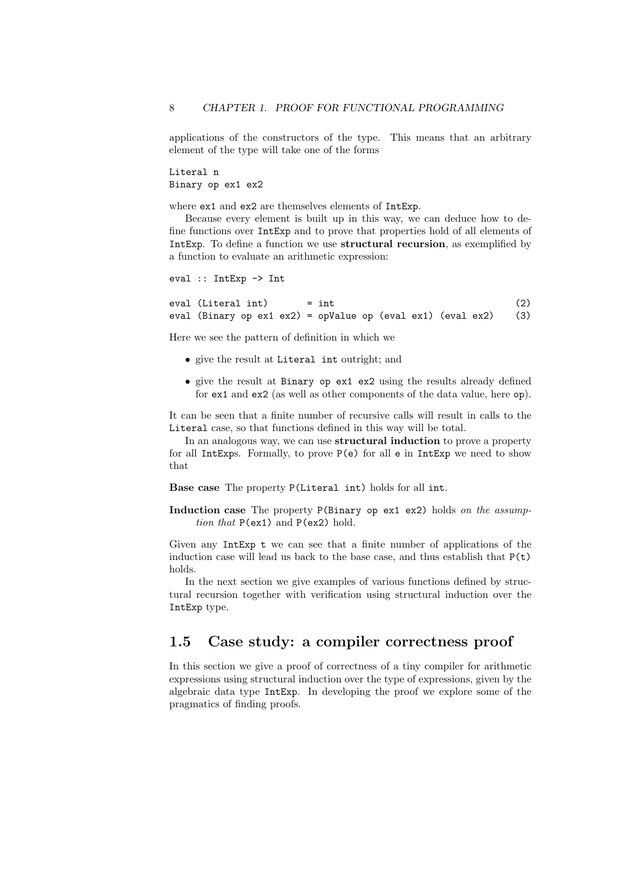applications of the constructors of the type. This means that an arbitrary element of the type will take one of the forms

Literal n Binary op ex1 ex2

where ex1 and ex2 are themselves elements of IntExp.

Because every element is built up in this way, we can deduce how to define functions over IntExp and to prove that properties hold of all elements of IntExp. To define a function we use structural recursion, as exemplified by a function to evaluate an arithmetic expression:

```
eval :: IntExp -> Int
```
 $eval (literal int) = int$  (2) eval (Binary op ex1 ex2) = opValue op (eval ex1) (eval ex2) (3)

Here we see the pattern of definition in which we

- give the result at Literal int outright; and
- give the result at Binary op ex1 ex2 using the results already defined for ex1 and ex2 (as well as other components of the data value, here op).

It can be seen that a finite number of recursive calls will result in calls to the Literal case, so that functions defined in this way will be total.

In an analogous way, we can use **structural induction** to prove a property for all IntExps. Formally, to prove P(e) for all e in IntExp we need to show that

Base case The property P(Literal int) holds for all int.

Induction case The property P(Binary op ex1 ex2) holds on the assumption that P(ex1) and P(ex2) hold.

Given any IntExp t we can see that a finite number of applications of the induction case will lead us back to the base case, and thus establish that  $P(t)$ holds.

In the next section we give examples of various functions defined by structural recursion together with verification using structural induction over the IntExp type.

#### 1.5 Case study: a compiler correctness proof

In this section we give a proof of correctness of a tiny compiler for arithmetic expressions using structural induction over the type of expressions, given by the algebraic data type IntExp. In developing the proof we explore some of the pragmatics of finding proofs.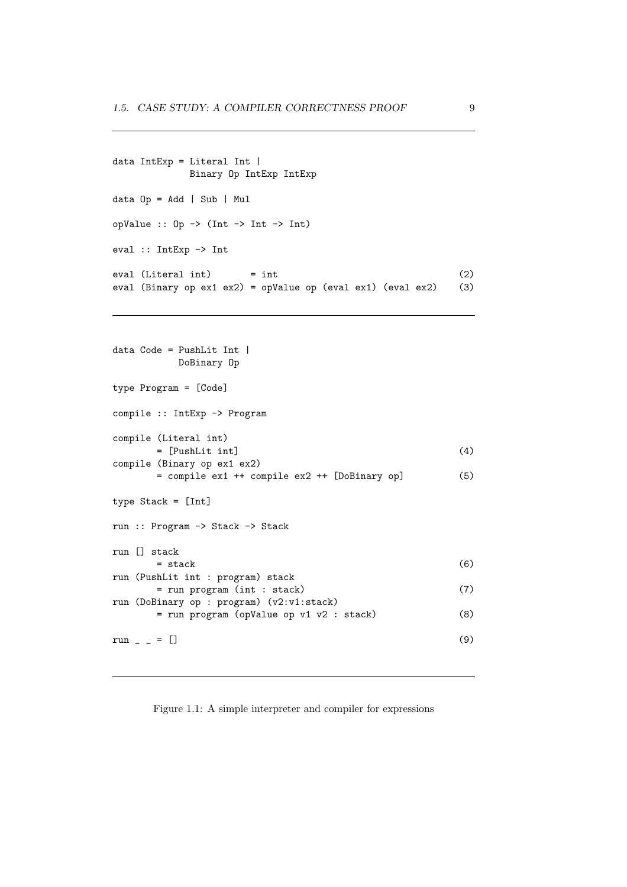```
data IntExp = Literal Int |
             Binary Op IntExp IntExp
data Op = Add | Sub | Mul
opValue :: Op \rightarrow (Int \rightarrow Int \rightarrow Int)eval :: IntExp -> Int
eval (literal int) = int (2)
eval (Binary op ex1 ex2) = opValue op (eval ex1) (eval ex2) (3)
```

```
data Code = PushLit Int |
        DoBinary Op
type Program = [Code]
compile :: IntExp -> Program
compile (Literal int)
     = [PushLit int] (4)
compile (Binary op ex1 ex2)
     = compile ex1 ++ compile ex2 ++ [DoBinary op] (5)
type Stack = [Int]
run :: Program -> Stack -> Stack
run [] stack
     = stack (6)run (PushLit int : program) stack
     = run program (int : stack) (7)
run (DoBinary op : program) (v2:v1:stack)
     = run program (opValue op v1 v2 : stack) (8)
run \_ = [ (9)
```
Figure 1.1: A simple interpreter and compiler for expressions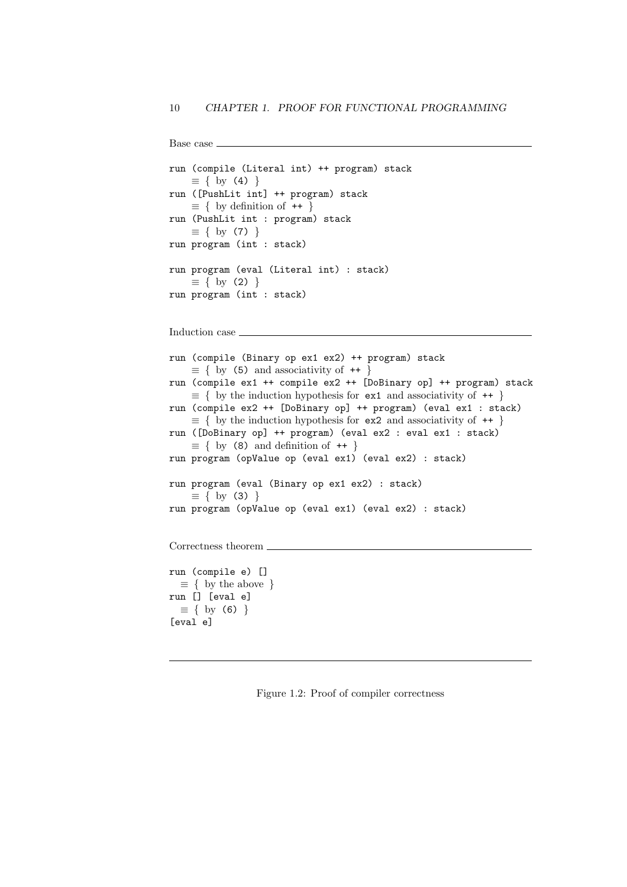```
Base case
run (compile (Literal int) ++ program) stack
    \equiv \{ by (4) \}run ([PushLit int] ++ program) stack
    \equiv \{ by definition of ++ \}run (PushLit int : program) stack
    \equiv { by (7) }
run program (int : stack)
run program (eval (Literal int) : stack)
    \equiv \{ by (2) \}run program (int : stack)
Induction case
run (compile (Binary op ex1 ex2) ++ program) stack
    \equiv \{ by (5) and associativity of ++ \}run (compile ex1 ++ compile ex2 ++ [DoBinary op] ++ program) stack
    \equiv \{ by the induction hypothesis for ex1 and associativity of ++run (compile ex2 ++ [DoBinary op] ++ program) (eval ex1 : stack)
    \equiv \{ by the induction hypothesis for ex2 and associativity of ++ \}run ([DoBinary op] ++ program) (eval ex2 : eval ex1 : stack)
    \equiv \{ by (8) \text{ and definition of } ++ \}run program (opValue op (eval ex1) (eval ex2) : stack)
run program (eval (Binary op ex1 ex2) : stack)
    \equiv \{ by (3) \}run program (opValue op (eval ex1) (eval ex2) : stack)
Correctness theorem \_run (compile e) []
  \equiv \{ by the above \}run [] [eval e]
  \equiv { by (6) }
[eval e]
```
Figure 1.2: Proof of compiler correctness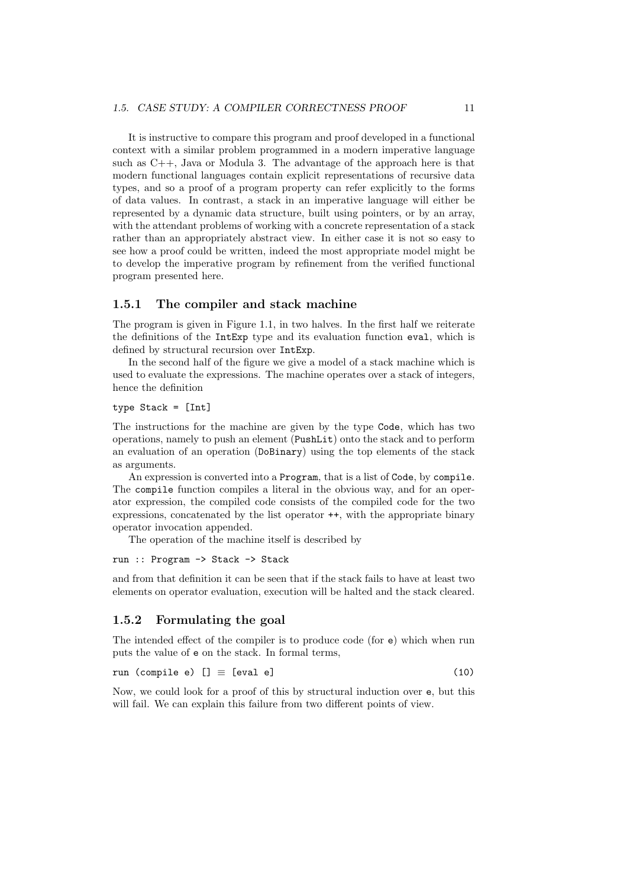It is instructive to compare this program and proof developed in a functional context with a similar problem programmed in a modern imperative language such as C++, Java or Modula 3. The advantage of the approach here is that modern functional languages contain explicit representations of recursive data types, and so a proof of a program property can refer explicitly to the forms of data values. In contrast, a stack in an imperative language will either be represented by a dynamic data structure, built using pointers, or by an array, with the attendant problems of working with a concrete representation of a stack rather than an appropriately abstract view. In either case it is not so easy to see how a proof could be written, indeed the most appropriate model might be to develop the imperative program by refinement from the verified functional program presented here.

#### 1.5.1 The compiler and stack machine

The program is given in Figure 1.1, in two halves. In the first half we reiterate the definitions of the IntExp type and its evaluation function eval, which is defined by structural recursion over IntExp.

In the second half of the figure we give a model of a stack machine which is used to evaluate the expressions. The machine operates over a stack of integers, hence the definition

type Stack = [Int]

The instructions for the machine are given by the type Code, which has two operations, namely to push an element (PushLit) onto the stack and to perform an evaluation of an operation (DoBinary) using the top elements of the stack as arguments.

An expression is converted into a Program, that is a list of Code, by compile. The compile function compiles a literal in the obvious way, and for an operator expression, the compiled code consists of the compiled code for the two expressions, concatenated by the list operator ++, with the appropriate binary operator invocation appended.

The operation of the machine itself is described by

```
run :: Program -> Stack -> Stack
```
and from that definition it can be seen that if the stack fails to have at least two elements on operator evaluation, execution will be halted and the stack cleared.

#### 1.5.2 Formulating the goal

The intended effect of the compiler is to produce code (for e) which when run puts the value of e on the stack. In formal terms,

run (compile e)  $[] \equiv [eval e]$  (10)

Now, we could look for a proof of this by structural induction over e, but this will fail. We can explain this failure from two different points of view.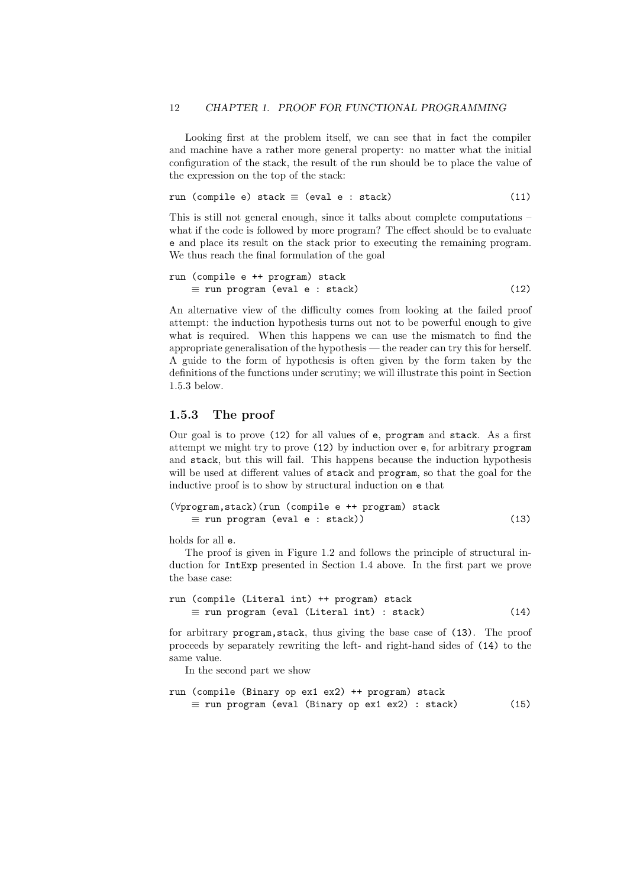Looking first at the problem itself, we can see that in fact the compiler and machine have a rather more general property: no matter what the initial configuration of the stack, the result of the run should be to place the value of the expression on the top of the stack:

$$
run (compile e) stack \equiv (eval e : stack) \qquad (11)
$$

This is still not general enough, since it talks about complete computations – what if the code is followed by more program? The effect should be to evaluate e and place its result on the stack prior to executing the remaining program. We thus reach the final formulation of the goal

$$
\begin{array}{ll}\n\text{run (compile e ++ program) stack} \\
\equiv \text{run program (eval e : stack)}\n\end{array} \tag{12}
$$

An alternative view of the difficulty comes from looking at the failed proof attempt: the induction hypothesis turns out not to be powerful enough to give what is required. When this happens we can use the mismatch to find the appropriate generalisation of the hypothesis — the reader can try this for herself. A guide to the form of hypothesis is often given by the form taken by the definitions of the functions under scrutiny; we will illustrate this point in Section 1.5.3 below.

#### 1.5.3 The proof

Our goal is to prove (12) for all values of e, program and stack. As a first attempt we might try to prove (12) by induction over e, for arbitrary program and stack, but this will fail. This happens because the induction hypothesis will be used at different values of stack and program, so that the goal for the inductive proof is to show by structural induction on e that

```
(∀program,stack)(run (compile e ++ program) stack
   \equiv run program (eval e : stack)) (13)
```
holds for all e.

The proof is given in Figure 1.2 and follows the principle of structural induction for IntExp presented in Section 1.4 above. In the first part we prove the base case:

```
run (compile (Literal int) ++ program) stack
   \equiv run program (eval (Literal int) : stack) (14)
```
for arbitrary program,stack, thus giving the base case of (13). The proof proceeds by separately rewriting the left- and right-hand sides of (14) to the same value.

In the second part we show

```
run (compile (Binary op ex1 ex2) ++ program) stack
   \equiv run program (eval (Binary op ex1 ex2) : stack) (15)
```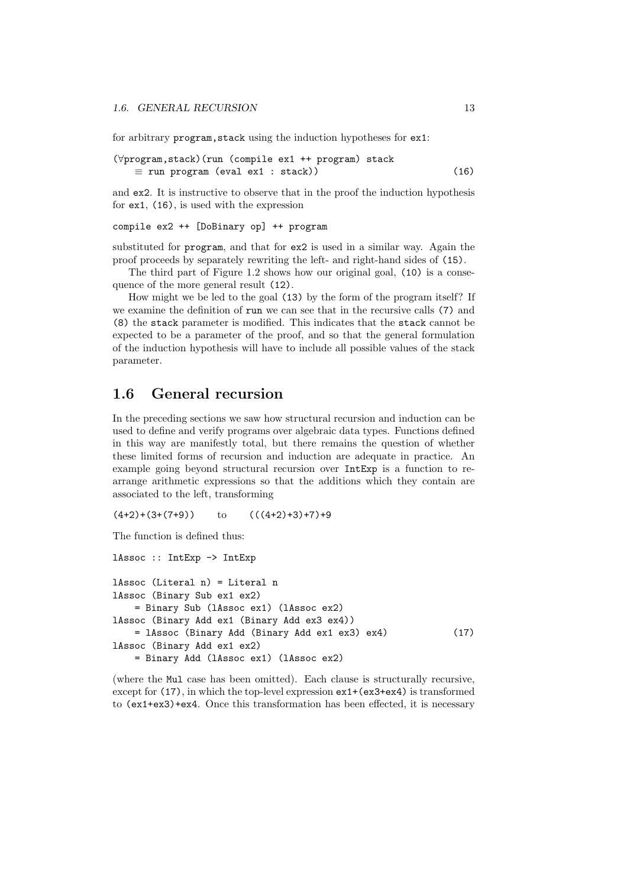for arbitrary program, stack using the induction hypotheses for ex1:

```
(∀program,stack)(run (compile ex1 ++ program) stack
   \equiv run program (eval ex1 : stack)) (16)
```
and ex2. It is instructive to observe that in the proof the induction hypothesis for ex1, (16), is used with the expression

#### compile ex2 ++ [DoBinary op] ++ program

substituted for program, and that for ex2 is used in a similar way. Again the proof proceeds by separately rewriting the left- and right-hand sides of (15).

The third part of Figure 1.2 shows how our original goal, (10) is a consequence of the more general result (12).

How might we be led to the goal (13) by the form of the program itself? If we examine the definition of run we can see that in the recursive calls (7) and (8) the stack parameter is modified. This indicates that the stack cannot be expected to be a parameter of the proof, and so that the general formulation of the induction hypothesis will have to include all possible values of the stack parameter.

#### 1.6 General recursion

In the preceding sections we saw how structural recursion and induction can be used to define and verify programs over algebraic data types. Functions defined in this way are manifestly total, but there remains the question of whether these limited forms of recursion and induction are adequate in practice. An example going beyond structural recursion over IntExp is a function to rearrange arithmetic expressions so that the additions which they contain are associated to the left, transforming

 $(4+2)+(3+(7+9))$  to  $((4+2)+3)+7)+9$ 

The function is defined thus:

```
lAssoc :: IntExp -> IntExp
lAssoc (Literal n) = Literal n
lAssoc (Binary Sub ex1 ex2)
   = Binary Sub (lAssoc ex1) (lAssoc ex2)
lAssoc (Binary Add ex1 (Binary Add ex3 ex4))
   = lAssoc (Binary Add (Binary Add ex1 ex3) ex4) (17)
lAssoc (Binary Add ex1 ex2)
   = Binary Add (lAssoc ex1) (lAssoc ex2)
```
(where the Mul case has been omitted). Each clause is structurally recursive, except for  $(17)$ , in which the top-level expression  $ex1+(ex3+ex4)$  is transformed to (ex1+ex3)+ex4. Once this transformation has been effected, it is necessary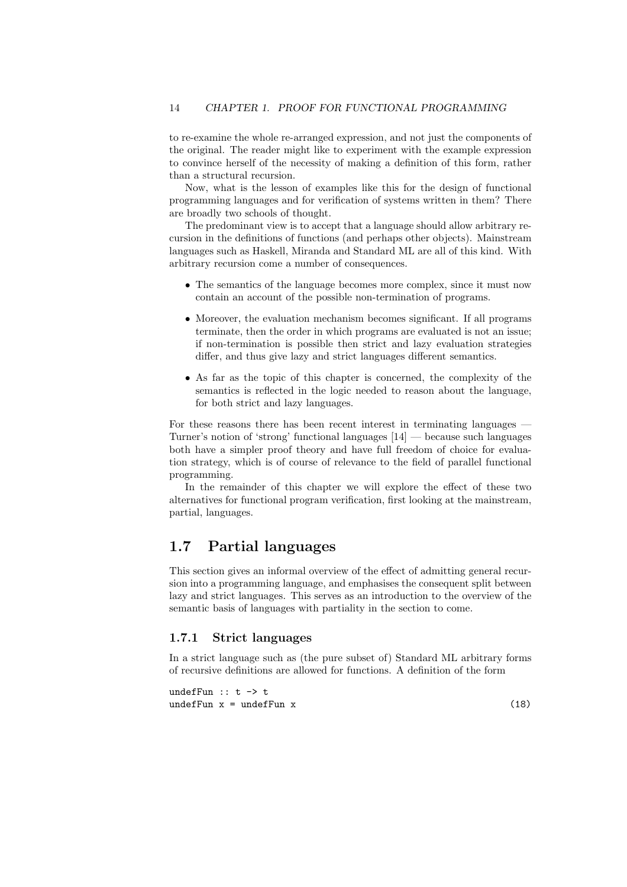to re-examine the whole re-arranged expression, and not just the components of the original. The reader might like to experiment with the example expression to convince herself of the necessity of making a definition of this form, rather than a structural recursion.

Now, what is the lesson of examples like this for the design of functional programming languages and for verification of systems written in them? There are broadly two schools of thought.

The predominant view is to accept that a language should allow arbitrary recursion in the definitions of functions (and perhaps other objects). Mainstream languages such as Haskell, Miranda and Standard ML are all of this kind. With arbitrary recursion come a number of consequences.

- The semantics of the language becomes more complex, since it must now contain an account of the possible non-termination of programs.
- Moreover, the evaluation mechanism becomes significant. If all programs terminate, then the order in which programs are evaluated is not an issue; if non-termination is possible then strict and lazy evaluation strategies differ, and thus give lazy and strict languages different semantics.
- As far as the topic of this chapter is concerned, the complexity of the semantics is reflected in the logic needed to reason about the language, for both strict and lazy languages.

For these reasons there has been recent interest in terminating languages  $\cdot$ Turner's notion of 'strong' functional languages [14] — because such languages both have a simpler proof theory and have full freedom of choice for evaluation strategy, which is of course of relevance to the field of parallel functional programming.

In the remainder of this chapter we will explore the effect of these two alternatives for functional program verification, first looking at the mainstream, partial, languages.

#### 1.7 Partial languages

This section gives an informal overview of the effect of admitting general recursion into a programming language, and emphasises the consequent split between lazy and strict languages. This serves as an introduction to the overview of the semantic basis of languages with partiality in the section to come.

#### 1.7.1 Strict languages

In a strict language such as (the pure subset of) Standard ML arbitrary forms of recursive definitions are allowed for functions. A definition of the form

undefFun  $:: t \rightarrow t$  $u = u \cdot u \cdot u$  (18)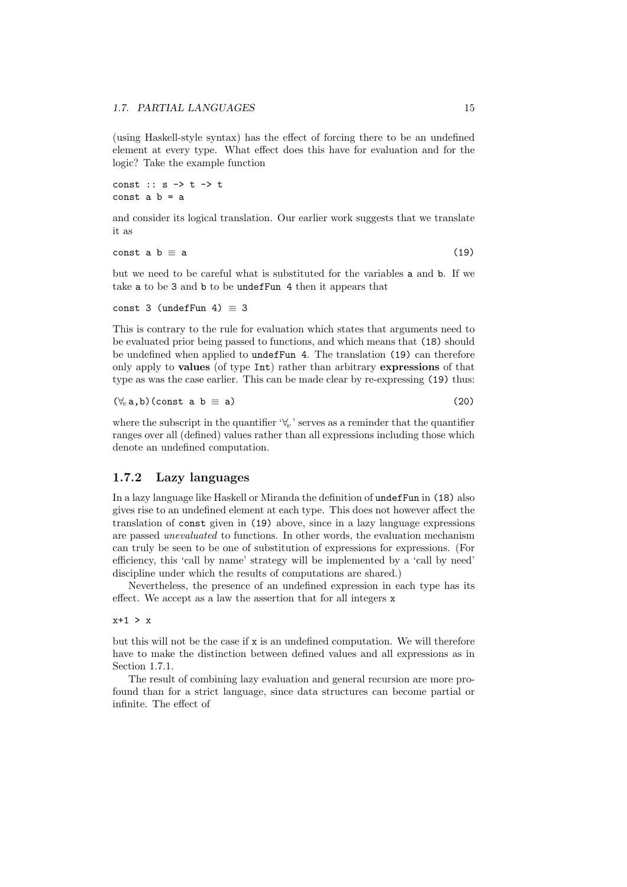(using Haskell-style syntax) has the effect of forcing there to be an undefined element at every type. What effect does this have for evaluation and for the logic? Take the example function

const :: s -> t -> t const  $a$   $b = a$ 

and consider its logical translation. Our earlier work suggests that we translate it as

const a b  $\equiv$  a (19)

but we need to be careful what is substituted for the variables a and b. If we take a to be 3 and b to be undefFun 4 then it appears that

```
const 3 (undefFun 4) \equiv 3
```
This is contrary to the rule for evaluation which states that arguments need to be evaluated prior being passed to functions, and which means that (18) should be undefined when applied to undefFun 4. The translation (19) can therefore only apply to values (of type Int) rather than arbitrary expressions of that type as was the case earlier. This can be made clear by re-expressing (19) thus:

$$
(\forall_v \, a, b) \, (\text{const} \, a \, b \equiv a) \tag{20}
$$

where the subscript in the quantifier  $\forall x$ , serves as a reminder that the quantifier ranges over all (defined) values rather than all expressions including those which denote an undefined computation.

#### 1.7.2 Lazy languages

In a lazy language like Haskell or Miranda the definition of undefFun in (18) also gives rise to an undefined element at each type. This does not however affect the translation of const given in (19) above, since in a lazy language expressions are passed unevaluated to functions. In other words, the evaluation mechanism can truly be seen to be one of substitution of expressions for expressions. (For efficiency, this 'call by name' strategy will be implemented by a 'call by need' discipline under which the results of computations are shared.)

Nevertheless, the presence of an undefined expression in each type has its effect. We accept as a law the assertion that for all integers x

 $x+1 > x$ 

but this will not be the case if  $x$  is an undefined computation. We will therefore have to make the distinction between defined values and all expressions as in Section 1.7.1.

The result of combining lazy evaluation and general recursion are more profound than for a strict language, since data structures can become partial or infinite. The effect of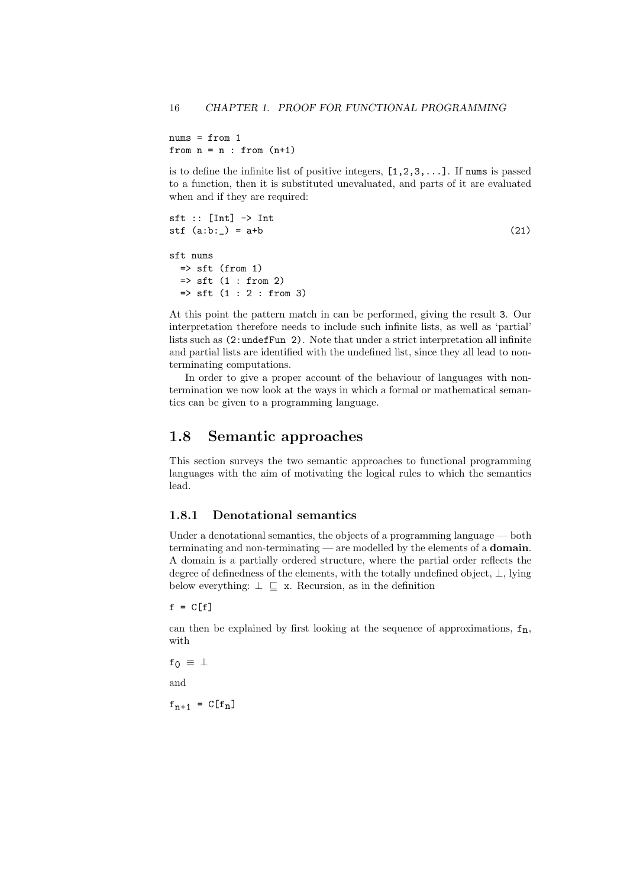$nums = from 1$ from  $n = n$ : from  $(n+1)$ 

is to define the infinite list of positive integers,  $[1,2,3,\ldots]$ . If nums is passed to a function, then it is substituted unevaluated, and parts of it are evaluated when and if they are required:

```
sft :: [Int] \rightarrow Int\text{stf} \left( \text{a:b:}_{-} \right) = \text{a+b} (21)
sft nums
  \Rightarrow sft (from 1)
  \Rightarrow sft (1 : from 2)\Rightarrow sft (1 : 2 : from 3)
```
At this point the pattern match in can be performed, giving the result 3. Our interpretation therefore needs to include such infinite lists, as well as 'partial' lists such as (2:undefFun 2). Note that under a strict interpretation all infinite and partial lists are identified with the undefined list, since they all lead to nonterminating computations.

In order to give a proper account of the behaviour of languages with nontermination we now look at the ways in which a formal or mathematical semantics can be given to a programming language.

#### 1.8 Semantic approaches

This section surveys the two semantic approaches to functional programming languages with the aim of motivating the logical rules to which the semantics lead.

#### 1.8.1 Denotational semantics

Under a denotational semantics, the objects of a programming language — both terminating and non-terminating — are modelled by the elements of a domain. A domain is a partially ordered structure, where the partial order reflects the degree of definedness of the elements, with the totally undefined object, ⊥, lying below everything:  $\perp \sqsubseteq x$ . Recursion, as in the definition

 $f = C[f]$ 

can then be explained by first looking at the sequence of approximations,  $f_n$ , with

$$
\mathtt{f_0} \ \equiv \ \bot
$$

and

 $f_{n+1} = C[f_n]$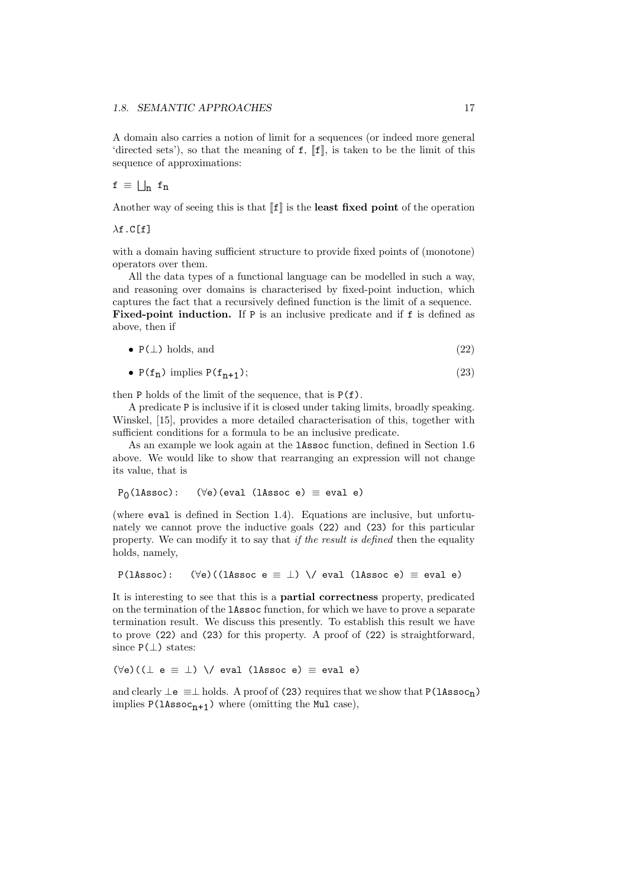A domain also carries a notion of limit for a sequences (or indeed more general 'directed sets'), so that the meaning of  $f$ ,  $\llbracket f \rrbracket$ , is taken to be the limit of this sequence of approximations:

#### $f \equiv \bigsqcup_n f_n$

Another way of seeing this is that  $\llbracket f \rrbracket$  is the **least fixed point** of the operation

#### $\lambda$ f.C[f]

with a domain having sufficient structure to provide fixed points of (monotone) operators over them.

All the data types of a functional language can be modelled in such a way, and reasoning over domains is characterised by fixed-point induction, which captures the fact that a recursively defined function is the limit of a sequence. Fixed-point induction. If P is an inclusive predicate and if f is defined as above, then if

$$
\bullet \ \mathsf{P}(\perp) \ \text{holds, and} \tag{22}
$$

• 
$$
P(f_n)
$$
 implies  $P(f_{n+1})$ ; (23)

then P holds of the limit of the sequence, that is P(f).

A predicate P is inclusive if it is closed under taking limits, broadly speaking. Winskel, [15], provides a more detailed characterisation of this, together with sufficient conditions for a formula to be an inclusive predicate.

As an example we look again at the lAssoc function, defined in Section 1.6 above. We would like to show that rearranging an expression will not change its value, that is

 $P_0$ (lAssoc):  $(\forall e)(eval (lassoc e) \equiv eval e)$ 

(where eval is defined in Section 1.4). Equations are inclusive, but unfortunately we cannot prove the inductive goals (22) and (23) for this particular property. We can modify it to say that if the result is defined then the equality holds, namely,

 $P(1)$ Assoc): ( $\forall e$ )((lassoc e  $\equiv \bot$ ) \/ eval (lassoc e)  $\equiv$  eval e)

It is interesting to see that this is a partial correctness property, predicated on the termination of the lAssoc function, for which we have to prove a separate termination result. We discuss this presently. To establish this result we have to prove (22) and (23) for this property. A proof of (22) is straightforward, since  $P(\perp)$  states:

 $(\forall e)((\bot e \equiv \bot) \ \setminus \angle e$ val (lAssoc e)  $\equiv$  eval e)

and clearly  $\perp$ e  $\equiv$   $\perp$  holds. A proof of (23) requires that we show that P(1Assoc<sub>n</sub>) implies  $P(1)A\sec_{n+1})$  where (omitting the Mul case),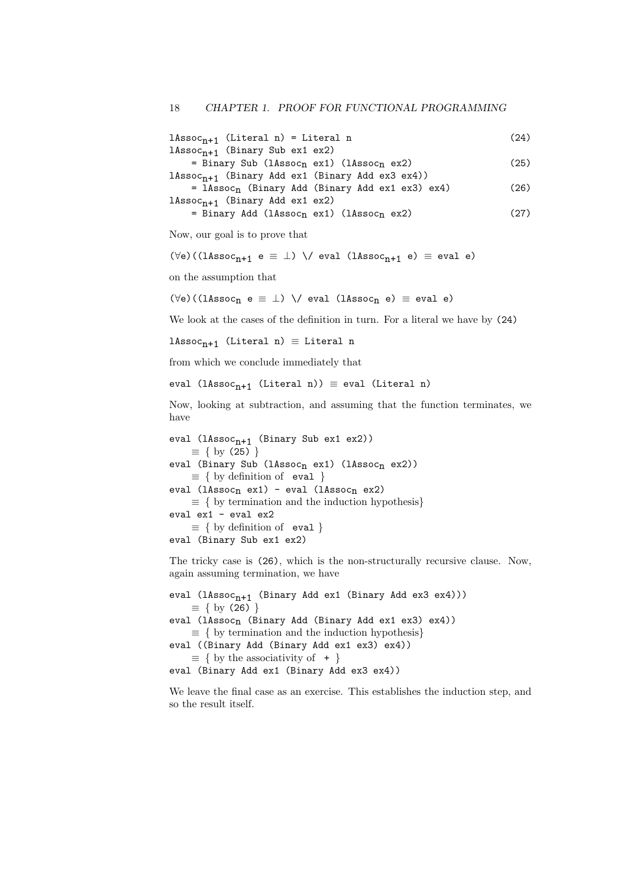$1\text{Assoc}_{n+1}$  (Literal n) = Literal n (24)  $1$ Asso $c_{n+1}$  (Binary Sub ex1 ex2)  $=$  Binary Sub (lAssoc<sub>n</sub> ex1) (lAssoc<sub>n</sub> ex2) (25)  $1$ Assoc<sub>n+1</sub> (Binary Add ex1 (Binary Add ex3 ex4)) = lAssocn (Binary Add (Binary Add ex1 ex3) ex4) (26)  $1$ Asso $c_{n+1}$  (Binary Add ex1 ex2)

$$
= \text{Binary Add (lAssocn ex1) (lAssocn ex2)} \tag{27}
$$

Now, our goal is to prove that

$$
(\forall e) \, ((1 \texttt{Assoc}_{n+1} \ e \equiv \bot) \ \ \backslash / \ \ \texttt{eval} \ \ (1 \texttt{Assoc}_{n+1} \ e) \ \equiv \ \texttt{eval} \ e)
$$

on the assumption that

 $(\forall e)$ ((lAssoc<sub>n</sub> e  $\equiv \bot$ ) \/ eval (lAssoc<sub>n</sub> e)  $\equiv$  eval e)

We look at the cases of the definition in turn. For a literal we have by (24)

lAssoc<sub>n+1</sub> (Literal n)  $\equiv$  Literal n

from which we conclude immediately that

```
eval (lAssoc<sub>n+1</sub> (Literal n)) \equiv eval (Literal n)
```
Now, looking at subtraction, and assuming that the function terminates, we have

```
eval (lAssoc_{n+1} (Binary Sub ex1 ex2))
     \equiv \{ by (25) \}eval (Binary Sub (lAssoc<sub>n</sub> ex1) (lAssoc<sub>n</sub> ex2))
     \equiv \{ by definition of eval \}eval (1Assoc<sub>n</sub> ex1) - eval (1Assoc<sub>n</sub> ex2)
     \equiv \{ by termination and the induction hypothesis}
eval ex1 - eval ex2
     \equiv \{ by definition of eval \}eval (Binary Sub ex1 ex2)
```
The tricky case is (26), which is the non-structurally recursive clause. Now, again assuming termination, we have

eval  $(1Assoc_{n+1}$  (Binary Add ex1 (Binary Add ex3 ex4)))  $\equiv \{ by (26) \}$ eval (lAssoc<sub>n</sub> (Binary Add (Binary Add ex1 ex3) ex4))  $\equiv \{$  by termination and the induction hypothesis} eval ((Binary Add (Binary Add ex1 ex3) ex4))  $\equiv \{$  by the associativity of  $+$ } eval (Binary Add ex1 (Binary Add ex3 ex4))

We leave the final case as an exercise. This establishes the induction step, and so the result itself.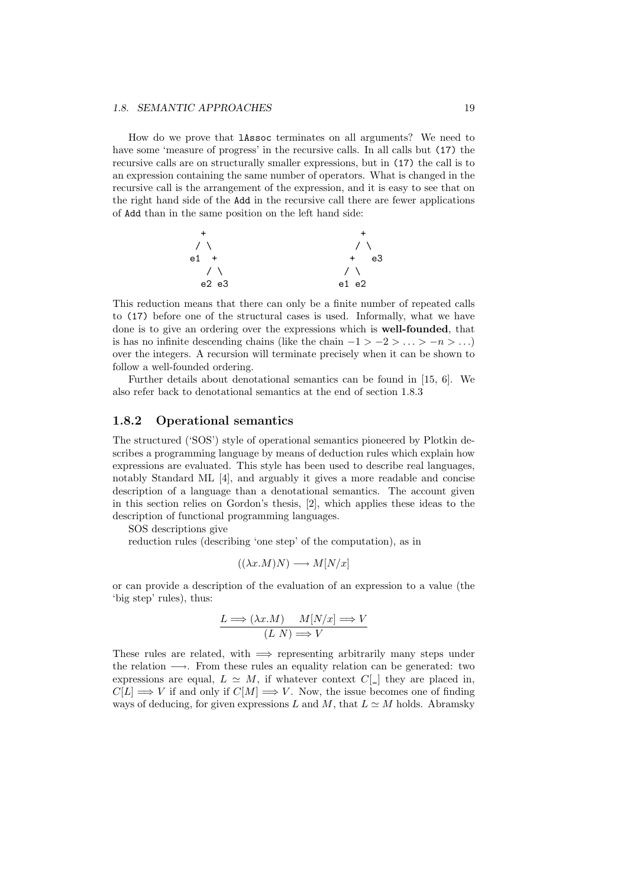#### *1.8. SEMANTIC APPROACHES* 19

How do we prove that lAssoc terminates on all arguments? We need to have some 'measure of progress' in the recursive calls. In all calls but (17) the recursive calls are on structurally smaller expressions, but in (17) the call is to an expression containing the same number of operators. What is changed in the recursive call is the arrangement of the expression, and it is easy to see that on the right hand side of the Add in the recursive call there are fewer applications of Add than in the same position on the left hand side:



This reduction means that there can only be a finite number of repeated calls to (17) before one of the structural cases is used. Informally, what we have done is to give an ordering over the expressions which is well-founded, that is has no infinite descending chains (like the chain  $-1 > -2 > ... > -n > ...$ ) over the integers. A recursion will terminate precisely when it can be shown to follow a well-founded ordering.

Further details about denotational semantics can be found in [15, 6]. We also refer back to denotational semantics at the end of section 1.8.3

#### 1.8.2 Operational semantics

The structured ('SOS') style of operational semantics pioneered by Plotkin describes a programming language by means of deduction rules which explain how expressions are evaluated. This style has been used to describe real languages, notably Standard ML [4], and arguably it gives a more readable and concise description of a language than a denotational semantics. The account given in this section relies on Gordon's thesis, [2], which applies these ideas to the description of functional programming languages.

SOS descriptions give

reduction rules (describing 'one step' of the computation), as in

$$
((\lambda x.M)N) \longrightarrow M[N/x]
$$

or can provide a description of the evaluation of an expression to a value (the 'big step' rules), thus:

$$
\frac{L \Longrightarrow (\lambda x.M) \quad M[N/x] \Longrightarrow V}{(L\ N) \Longrightarrow V}
$$

These rules are related, with  $\implies$  representing arbitrarily many steps under the relation  $\longrightarrow$ . From these rules an equality relation can be generated: two expressions are equal,  $L \simeq M$ , if whatever context  $C[\_]$  they are placed in,  $C[L] \Longrightarrow V$  if and only if  $C[M] \Longrightarrow V$ . Now, the issue becomes one of finding ways of deducing, for given expressions L and M, that  $L \simeq M$  holds. Abramsky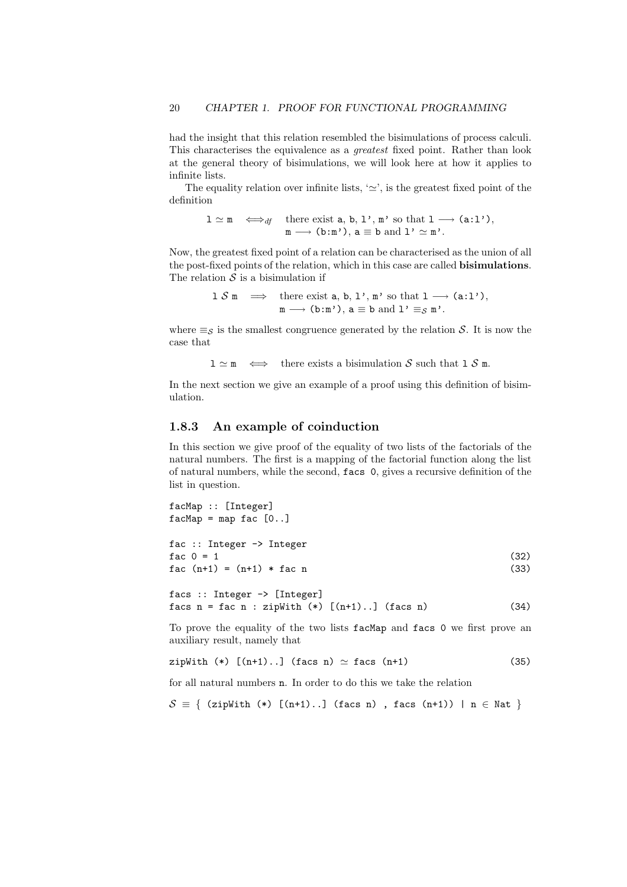had the insight that this relation resembled the bisimulations of process calculi. This characterises the equivalence as a greatest fixed point. Rather than look at the general theory of bisimulations, we will look here at how it applies to infinite lists.

The equality relation over infinite lists, ' $\simeq$ ', is the greatest fixed point of the definition

$$
1 \simeq m \iff_{df} \text{ there exist } a, b, 1', m' \text{ so that } 1 \longrightarrow (a:1'),
$$

$$
m \longrightarrow (b:m'), a \equiv b \text{ and } 1' \simeq m'.
$$

Now, the greatest fixed point of a relation can be characterised as the union of all the post-fixed points of the relation, which in this case are called bisimulations. The relation  $S$  is a bisimulation if

1 S m 
$$
\implies
$$
 there exist a, b, 1', m' so that 1  $\longrightarrow$  (a:1'),  
m  $\longrightarrow$  (b:m'), a  $\equiv$  b and 1'  $\equiv_S$  m'.

where  $\equiv_{\mathcal{S}}$  is the smallest congruence generated by the relation S. It is now the case that

 $1 \simeq m \iff$  there exists a bisimulation S such that  $1 \text{ } S \text{ } m$ .

In the next section we give an example of a proof using this definition of bisimulation.

#### 1.8.3 An example of coinduction

In this section we give proof of the equality of two lists of the factorials of the natural numbers. The first is a mapping of the factorial function along the list of natural numbers, while the second, facs 0, gives a recursive definition of the list in question.

```
facMap :: [Integer]
facMap = map fac [0..]fac :: Integer -> Integer
fac 0 = 1 (32)
fac (n+1) = (n+1) * fac n (33)
facs :: Integer -> [Integer]
facs n = fac n : zipWith (*) [(n+1)...] (facs n) (34)
```
To prove the equality of the two lists facMap and facs 0 we first prove an auxiliary result, namely that

zipWith  $(*)$   $[(n+1)...]$   $(facs n) \simeq facs (n+1)$  (35)

for all natural numbers n. In order to do this we take the relation

```
S \equiv \{ (zipWith (*) [(n+1)..] (facs n), facs (n+1)) | n \in Nat }
```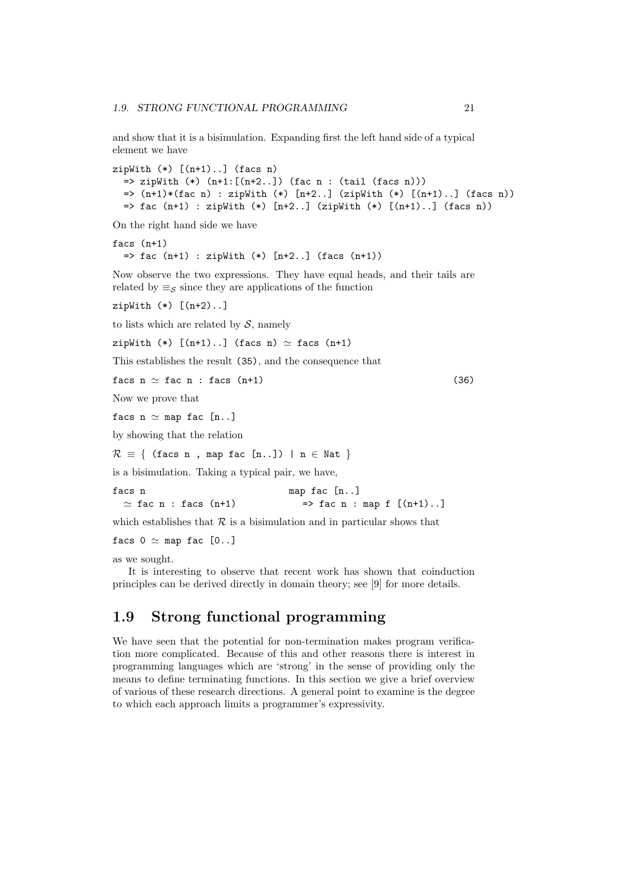and show that it is a bisimulation. Expanding first the left hand side of a typical element we have

```
zipWith (*) [(n+1)...] (facs n)\Rightarrow zipWith (*) (n+1:[(n+2..]) (fac n : (tail (facs n)))\Rightarrow (n+1)*(fac n) : zipWith (*) [n+2..] (zipWith (*) [(n+1)...] (facs n))
  \Rightarrow fac (n+1) : zipWith (*) [n+2..] (zipWith (*) [(n+1)..] (facs n))
```
On the right hand side we have

```
facs (n+1)
  \Rightarrow fac (n+1) : zipWith (*) [n+2..] (facs (n+1))
```
Now observe the two expressions. They have equal heads, and their tails are related by  $\equiv_S$  since they are applications of the function

zipWith  $(*)$   $[(n+2)...]$ 

to lists which are related by  $S$ , namely

zipWith  $(*)$   $[(n+1)...]$  (facs n)  $\simeq$  facs  $(n+1)$ 

This establishes the result (35), and the consequence that

facs  $n \simeq$  fac  $n$  : facs  $(n+1)$  (36)

Now we prove that

facs  $n \simeq$  map fac [n..]

by showing that the relation

 $\mathcal{R} \equiv \{$  (facs n, map fac [n..]) | n  $\in$  Nat }

is a bisimulation. Taking a typical pair, we have,

facs n map fac [n..]  $\simeq$  fac n : facs  $(n+1)$  => fac n : map f  $[(n+1)...]$ 

which establishes that  $R$  is a bisimulation and in particular shows that

```
facs 0 \simeq map fac [0..]
```
as we sought.

It is interesting to observe that recent work has shown that coinduction principles can be derived directly in domain theory; see [9] for more details.

#### 1.9 Strong functional programming

We have seen that the potential for non-termination makes program verification more complicated. Because of this and other reasons there is interest in programming languages which are 'strong' in the sense of providing only the means to define terminating functions. In this section we give a brief overview of various of these research directions. A general point to examine is the degree to which each approach limits a programmer's expressivity.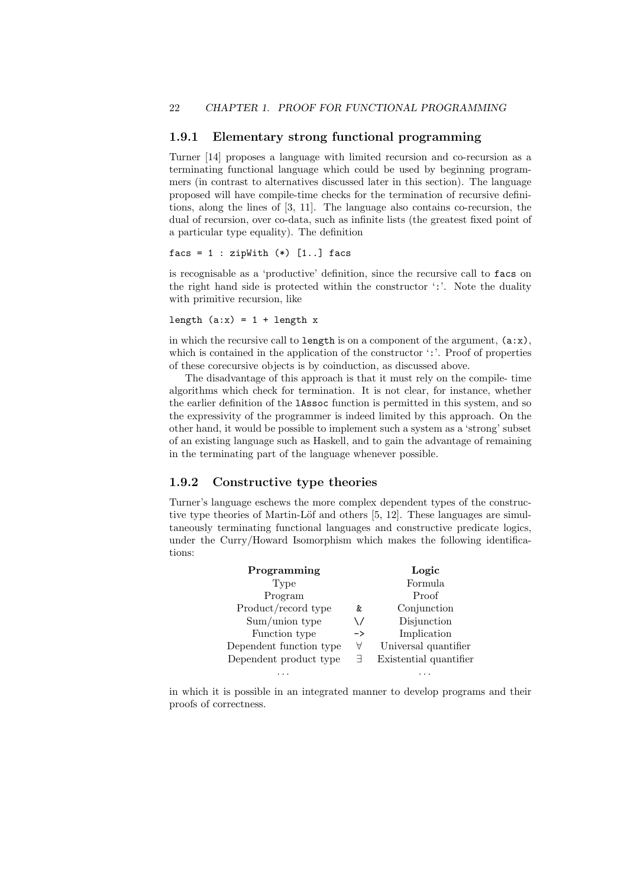#### 1.9.1 Elementary strong functional programming

Turner [14] proposes a language with limited recursion and co-recursion as a terminating functional language which could be used by beginning programmers (in contrast to alternatives discussed later in this section). The language proposed will have compile-time checks for the termination of recursive definitions, along the lines of [3, 11]. The language also contains co-recursion, the dual of recursion, over co-data, such as infinite lists (the greatest fixed point of a particular type equality). The definition

#### facs =  $1: zipWith (*) [1..] facs$

is recognisable as a 'productive' definition, since the recursive call to facs on the right hand side is protected within the constructor ':'. Note the duality with primitive recursion, like

length  $(a:x) = 1 + length x$ 

in which the recursive call to length is on a component of the argument,  $(a:x)$ , which is contained in the application of the constructor ':'. Proof of properties of these corecursive objects is by coinduction, as discussed above.

The disadvantage of this approach is that it must rely on the compile- time algorithms which check for termination. It is not clear, for instance, whether the earlier definition of the lAssoc function is permitted in this system, and so the expressivity of the programmer is indeed limited by this approach. On the other hand, it would be possible to implement such a system as a 'strong' subset of an existing language such as Haskell, and to gain the advantage of remaining in the terminating part of the language whenever possible.

#### 1.9.2 Constructive type theories

Turner's language eschews the more complex dependent types of the constructive type theories of Martin-Löf and others  $[5, 12]$ . These languages are simultaneously terminating functional languages and constructive predicate logics, under the Curry/Howard Isomorphism which makes the following identifications:

| Programming             |               | Logic                  |
|-------------------------|---------------|------------------------|
| Type                    |               | Formula                |
| Program                 |               | Proof                  |
| Product/record type     | &             | Conjunction            |
| Sum/union type          | \ /           | Disjunction            |
| Function type           | $\rightarrow$ | Implication            |
| Dependent function type | Α             | Universal quantifier   |
| Dependent product type  | 크             | Existential quantifier |
|                         |               |                        |

in which it is possible in an integrated manner to develop programs and their proofs of correctness.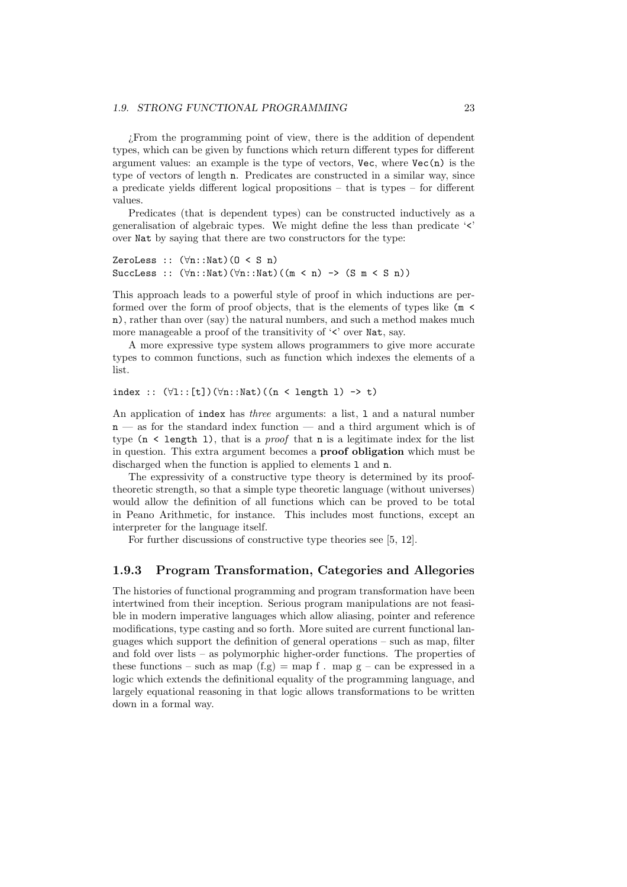#### *1.9. STRONG FUNCTIONAL PROGRAMMING* 23

¿From the programming point of view, there is the addition of dependent types, which can be given by functions which return different types for different argument values: an example is the type of vectors,  $Vec$ , where  $Vec(n)$  is the type of vectors of length n. Predicates are constructed in a similar way, since a predicate yields different logical propositions – that is types – for different values.

Predicates (that is dependent types) can be constructed inductively as a generalisation of algebraic types. We might define the less than predicate '<' over Nat by saying that there are two constructors for the type:

```
ZeroLess :: (\forall n::Nat)(0 < S n)
SuccLess :: (\forall n::Nat)((\forall n::Nat)((m < n) -> (S m < S n))
```
This approach leads to a powerful style of proof in which inductions are performed over the form of proof objects, that is the elements of types like (m < n), rather than over (say) the natural numbers, and such a method makes much more manageable a proof of the transitivity of  $\leq$  over Nat, say.

A more expressive type system allows programmers to give more accurate types to common functions, such as function which indexes the elements of a list.

index ::  $(\forall 1$  :: [t])( $\forall n$  :: Nat)((n < length 1) -> t)

An application of index has *three* arguments: a list, 1 and a natural number  $n -$  as for the standard index function  $-$  and a third argument which is of type  $(n \leq \text{length } 1)$ , that is a *proof* that n is a legitimate index for the list in question. This extra argument becomes a proof obligation which must be discharged when the function is applied to elements 1 and n.

The expressivity of a constructive type theory is determined by its prooftheoretic strength, so that a simple type theoretic language (without universes) would allow the definition of all functions which can be proved to be total in Peano Arithmetic, for instance. This includes most functions, except an interpreter for the language itself.

For further discussions of constructive type theories see [5, 12].

#### 1.9.3 Program Transformation, Categories and Allegories

The histories of functional programming and program transformation have been intertwined from their inception. Serious program manipulations are not feasible in modern imperative languages which allow aliasing, pointer and reference modifications, type casting and so forth. More suited are current functional languages which support the definition of general operations – such as map, filter and fold over lists – as polymorphic higher-order functions. The properties of these functions – such as map  $(f.g) = map f$ . map  $g - can be expressed in a$ logic which extends the definitional equality of the programming language, and largely equational reasoning in that logic allows transformations to be written down in a formal way.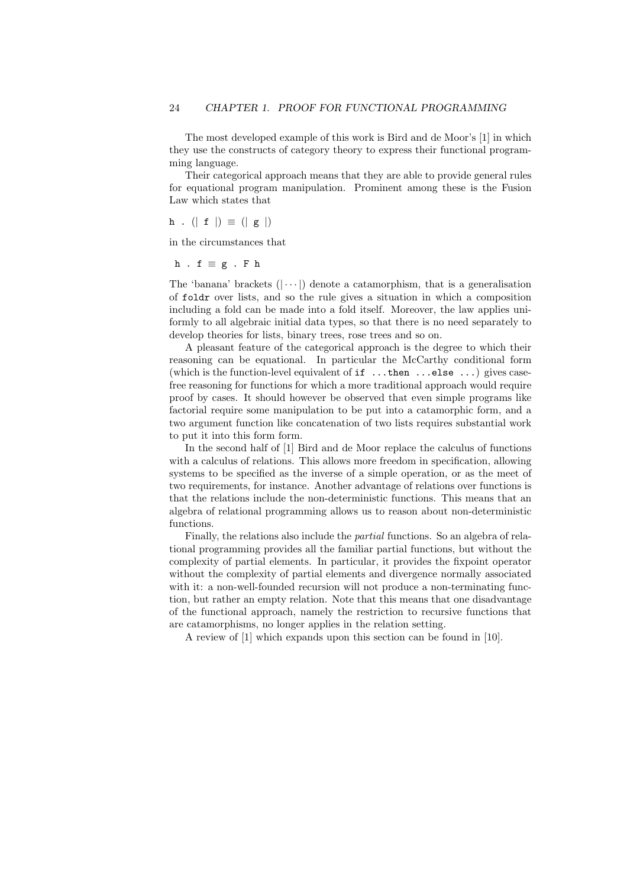The most developed example of this work is Bird and de Moor's [1] in which they use the constructs of category theory to express their functional programming language.

Their categorical approach means that they are able to provide general rules for equational program manipulation. Prominent among these is the Fusion Law which states that

$$
\mathbf{h} \cdot (\mid \mathbf{f} \mid) \equiv (\mid \mathbf{g} \mid)
$$

in the circumstances that

$$
h \cdot f \equiv g \cdot F h
$$

The 'banana' brackets  $(| \cdots |)$  denote a catamorphism, that is a generalisation of foldr over lists, and so the rule gives a situation in which a composition including a fold can be made into a fold itself. Moreover, the law applies uniformly to all algebraic initial data types, so that there is no need separately to develop theories for lists, binary trees, rose trees and so on.

A pleasant feature of the categorical approach is the degree to which their reasoning can be equational. In particular the McCarthy conditional form (which is the function-level equivalent of if ...then ...else ...) gives casefree reasoning for functions for which a more traditional approach would require proof by cases. It should however be observed that even simple programs like factorial require some manipulation to be put into a catamorphic form, and a two argument function like concatenation of two lists requires substantial work to put it into this form form.

In the second half of [1] Bird and de Moor replace the calculus of functions with a calculus of relations. This allows more freedom in specification, allowing systems to be specified as the inverse of a simple operation, or as the meet of two requirements, for instance. Another advantage of relations over functions is that the relations include the non-deterministic functions. This means that an algebra of relational programming allows us to reason about non-deterministic functions.

Finally, the relations also include the partial functions. So an algebra of relational programming provides all the familiar partial functions, but without the complexity of partial elements. In particular, it provides the fixpoint operator without the complexity of partial elements and divergence normally associated with it: a non-well-founded recursion will not produce a non-terminating function, but rather an empty relation. Note that this means that one disadvantage of the functional approach, namely the restriction to recursive functions that are catamorphisms, no longer applies in the relation setting.

A review of [1] which expands upon this section can be found in [10].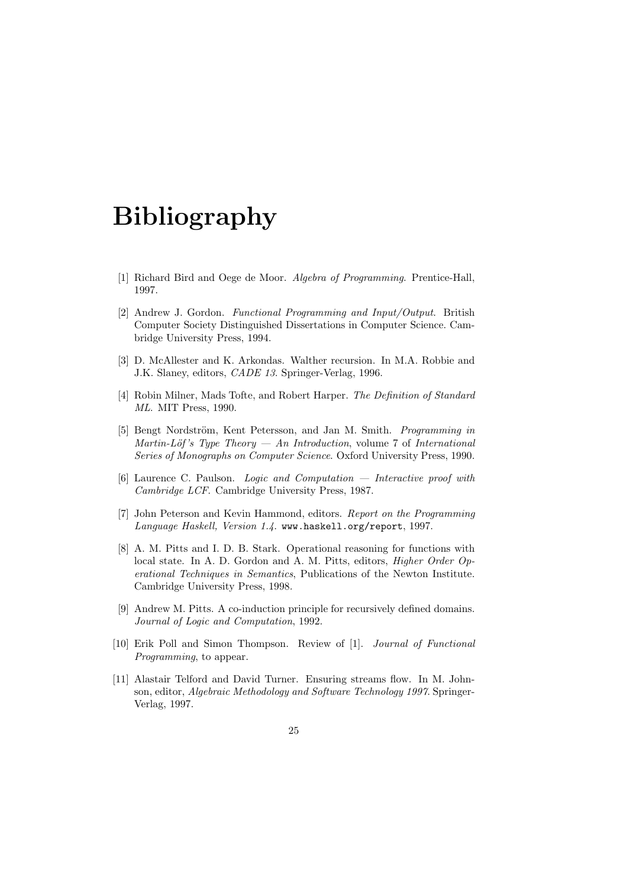## Bibliography

- [1] Richard Bird and Oege de Moor. Algebra of Programming. Prentice-Hall, 1997.
- [2] Andrew J. Gordon. Functional Programming and Input/Output. British Computer Society Distinguished Dissertations in Computer Science. Cambridge University Press, 1994.
- [3] D. McAllester and K. Arkondas. Walther recursion. In M.A. Robbie and J.K. Slaney, editors, CADE 13. Springer-Verlag, 1996.
- [4] Robin Milner, Mads Tofte, and Robert Harper. The Definition of Standard ML. MIT Press, 1990.
- [5] Bengt Nordström, Kent Petersson, and Jan M. Smith. *Programming in* Martin-Löf's Type Theory — An Introduction, volume 7 of International Series of Monographs on Computer Science. Oxford University Press, 1990.
- [6] Laurence C. Paulson. Logic and Computation Interactive proof with Cambridge LCF. Cambridge University Press, 1987.
- [7] John Peterson and Kevin Hammond, editors. Report on the Programming Language Haskell, Version 1.4. www.haskell.org/report, 1997.
- [8] A. M. Pitts and I. D. B. Stark. Operational reasoning for functions with local state. In A. D. Gordon and A. M. Pitts, editors, *Higher Order Op*erational Techniques in Semantics, Publications of the Newton Institute. Cambridge University Press, 1998.
- [9] Andrew M. Pitts. A co-induction principle for recursively defined domains. Journal of Logic and Computation, 1992.
- [10] Erik Poll and Simon Thompson. Review of [1]. Journal of Functional Programming, to appear.
- [11] Alastair Telford and David Turner. Ensuring streams flow. In M. Johnson, editor, Algebraic Methodology and Software Technology 1997. Springer-Verlag, 1997.